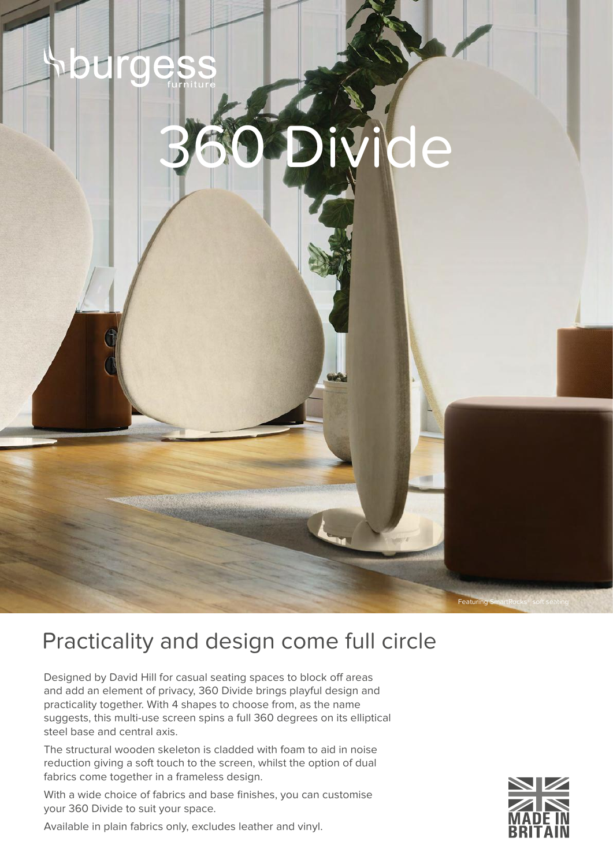

## Practicality and design come full circle

Designed by David Hill for casual seating spaces to block off areas and add an element of privacy, 360 Divide brings playful design and practicality together. With 4 shapes to choose from, as the name suggests, this multi-use screen spins a full 360 degrees on its elliptical steel base and central axis.

The structural wooden skeleton is cladded with foam to aid in noise reduction giving a soft touch to the screen, whilst the option of dual fabrics come together in a frameless design.

With a wide choice of fabrics and base finishes, you can customise your 360 Divide to suit your space.

Available in plain fabrics only, excludes leather and vinyl.